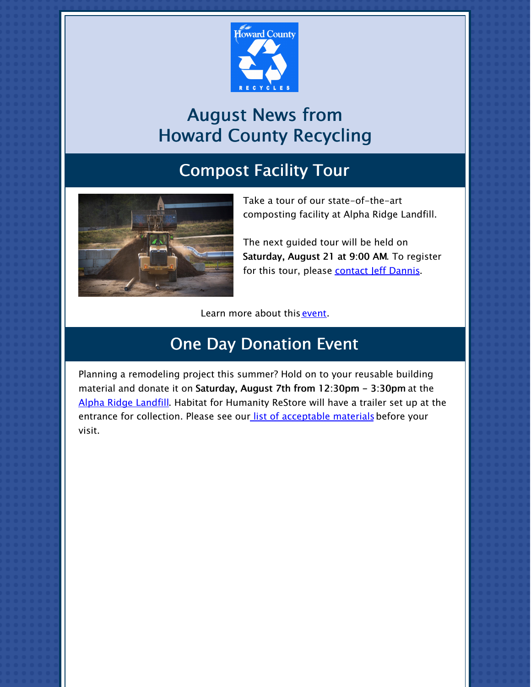

# August News from Howard County Recycling

## Compost Facility Tour



Take a tour of our state-of-the-art composting facility at Alpha Ridge Landfill.

The next guided tour will be held on Saturday, August 21 at 9:00 AM. To register for this tour, please [contact](mailto:jdannis@howardcountymd.gov) Jeff Dannis.

Learn more about this [event](https://www.howardcountymd.gov/alpha-ridge-landfill/composting-facility-tour).

## One Day Donation Event

Planning a remodeling project this summer? Hold on to your reusable building material and donate it on Saturday, August 7th from 12:30pm - 3:30pm at the Alpha Ridge [Landfill](https://www.howardcountymd.gov/bureau-environmental-services/reusable-building-material-donation). Habitat for Humanity ReStore will have a trailer set up at the entrance for collection. Please see our list of [acceptable](https://files.constantcontact.com/b4e85a16401/39ded6ef-3573-4ac2-8f91-1e3fa88b9494.pdf) materials before your visit.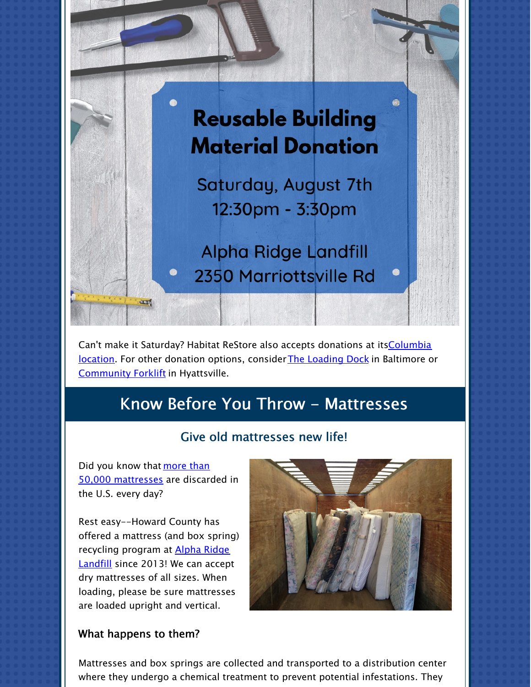

Can't make it Saturday? Habitat ReStore also accepts donations at its Columbia location. For other donation options, [considerThe](https://www.habitat.org/restores/donate-goods) [Loading](https://www.loadingdock.org/donate_materials/index.html) Dock in Baltimore or [Community](https://communityforklift.org/donate2/donate-materials-2/) Forklift in Hyattsville.

### Know Before You Throw - Mattresses

#### Give old mattresses new life!

Did you know that more than 50,000 [mattresses](https://mattressrecyclingcouncil.org/our-impact/) are discarded in the U.S. every day?

Rest easy--Howard County has offered a mattress (and box spring) [recycling](https://www.howardcountymd.gov/public-works/residents-convenience-center) program at **Alpha Ridge** Landfill since 2013! We can accept dry mattresses of all sizes. When loading, please be sure mattresses are loaded upright and vertical.



#### What happens to them?

Mattresses and box springs are collected and transported to a distribution center where they undergo a chemical treatment to prevent potential infestations. They